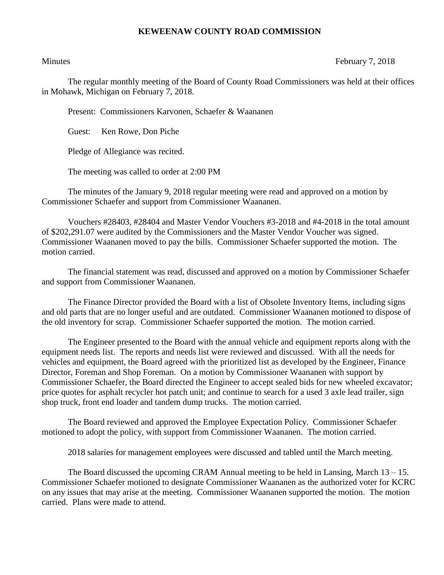## **KEWEENAW COUNTY ROAD COMMISSION**

Minutes February 7, 2018

The regular monthly meeting of the Board of County Road Commissioners was held at their offices in Mohawk, Michigan on February 7, 2018.

Present: Commissioners Karvonen, Schaefer & Waananen

Guest: Ken Rowe, Don Piche

Pledge of Allegiance was recited.

The meeting was called to order at 2:00 PM

The minutes of the January 9, 2018 regular meeting were read and approved on a motion by Commissioner Schaefer and support from Commissioner Waananen.

Vouchers #28403, #28404 and Master Vendor Vouchers #3-2018 and #4-2018 in the total amount of \$202,291.07 were audited by the Commissioners and the Master Vendor Voucher was signed. Commissioner Waananen moved to pay the bills. Commissioner Schaefer supported the motion. The motion carried.

The financial statement was read, discussed and approved on a motion by Commissioner Schaefer and support from Commissioner Waananen.

The Finance Director provided the Board with a list of Obsolete Inventory Items, including signs and old parts that are no longer useful and are outdated. Commissioner Waananen motioned to dispose of the old inventory for scrap. Commissioner Schaefer supported the motion. The motion carried.

The Engineer presented to the Board with the annual vehicle and equipment reports along with the equipment needs list. The reports and needs list were reviewed and discussed. With all the needs for vehicles and equipment, the Board agreed with the prioritized list as developed by the Engineer, Finance Director, Foreman and Shop Foreman. On a motion by Commissioner Waananen with support by Commissioner Schaefer, the Board directed the Engineer to accept sealed bids for new wheeled excavator; price quotes for asphalt recycler hot patch unit; and continue to search for a used 3 axle lead trailer, sign shop truck, front end loader and tandem dump trucks. The motion carried.

The Board reviewed and approved the Employee Expectation Policy. Commissioner Schaefer motioned to adopt the policy, with support from Commissioner Waananen. The motion carried.

2018 salaries for management employees were discussed and tabled until the March meeting.

The Board discussed the upcoming CRAM Annual meeting to be held in Lansing, March 13 – 15. Commissioner Schaefer motioned to designate Commissioner Waananen as the authorized voter for KCRC on any issues that may arise at the meeting. Commissioner Waananen supported the motion. The motion carried. Plans were made to attend.